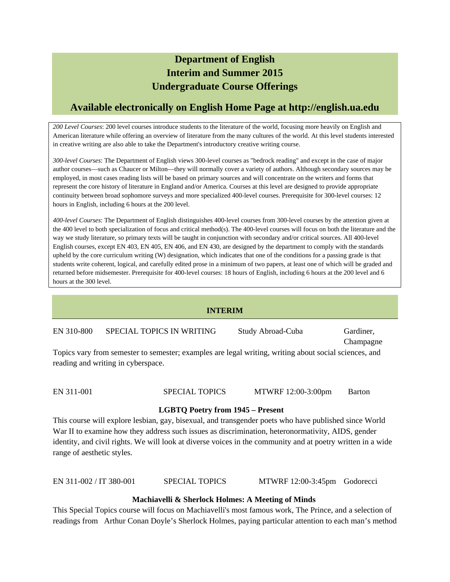# **Department of English Interim and Summer 2015 Undergraduate Course Offerings**

# **Available electronically on English Home Page at http://english.ua.edu**

*200 Level Courses*: 200 level courses introduce students to the literature of the world, focusing more heavily on English and American literature while offering an overview of literature from the many cultures of the world. At this level students interested in creative writing are also able to take the Department's introductory creative writing course.

*300-level Courses*: The Department of English views 300-level courses as "bedrock reading" and except in the case of major author courses—such as Chaucer or Milton—they will normally cover a variety of authors. Although secondary sources may be employed, in most cases reading lists will be based on primary sources and will concentrate on the writers and forms that represent the core history of literature in England and/or America. Courses at this level are designed to provide appropriate continuity between broad sophomore surveys and more specialized 400-level courses. Prerequisite for 300-level courses: 12 hours in English, including 6 hours at the 200 level.

*400-level Courses*: The Department of English distinguishes 400-level courses from 300-level courses by the attention given at the 400 level to both specialization of focus and critical method(s). The 400-level courses will focus on both the literature and the way we study literature, so primary texts will be taught in conjunction with secondary and/or critical sources. All 400-level English courses, except EN 403, EN 405, EN 406, and EN 430, are designed by the department to comply with the standards upheld by the core curriculum writing (W) designation, which indicates that one of the conditions for a passing grade is that students write coherent, logical, and carefully edited prose in a minimum of two papers, at least one of which will be graded and returned before midsemester. Prerequisite for 400-level courses: 18 hours of English, including 6 hours at the 200 level and 6 hours at the 300 level.

# **INTERIM**

EN 310-800 SPECIAL TOPICS IN WRITING Study Abroad-Cuba Gardiner,

Champagne

Topics vary from semester to semester; examples are legal writing, writing about social sciences, and reading and writing in cyberspace.

EN 311-001 SPECIAL TOPICS MTWRF 12:00-3:00pm Barton

# **LGBTQ Poetry from 1945 – Present**

This course will explore lesbian, gay, bisexual, and transgender poets who have published since World War II to examine how they address such issues as discrimination, heteronormativity, AIDS, gender identity, and civil rights. We will look at diverse voices in the community and at poetry written in a wide range of aesthetic styles.

EN 311-002 / IT 380-001 SPECIAL TOPICS MTWRF 12:00-3:45pm Godorecci

# **Machiavelli & Sherlock Holmes: A Meeting of Minds**

This Special Topics course will focus on Machiavelli's most famous work, The Prince, and a selection of readings from Arthur Conan Doyle's Sherlock Holmes, paying particular attention to each man's method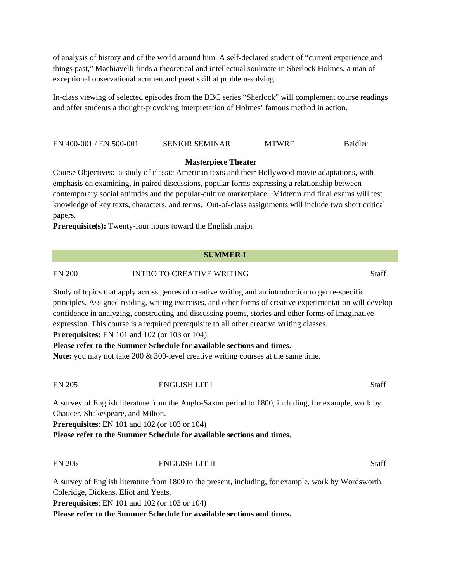of analysis of history and of the world around him. A self-declared student of "current experience and things past," Machiavelli finds a theoretical and intellectual soulmate in Sherlock Holmes, a man of exceptional observational acumen and great skill at problem-solving.

In-class viewing of selected episodes from the BBC series "Sherlock" will complement course readings and offer students a thought-provoking interpretation of Holmes' famous method in action.

EN 400-001 / EN 500-001 SENIOR SEMINAR MTWRF Beidler

### **Masterpiece Theater**

Course Objectives: a study of classic American texts and their Hollywood movie adaptations, with emphasis on examining, in paired discussions, popular forms expressing a relationship between contemporary social attitudes and the popular-culture marketplace. Midterm and final exams will test knowledge of key texts, characters, and terms. Out-of-class assignments will include two short critical papers.

**Prerequisite(s):** Twenty-four hours toward the English major.

# **SUMMER I**

EN 200 INTRO TO CREATIVE WRITING Staff

Study of topics that apply across genres of creative writing and an introduction to genre-specific principles. Assigned reading, writing exercises, and other forms of creative experimentation will develop confidence in analyzing, constructing and discussing poems, stories and other forms of imaginative expression. This course is a required prerequisite to all other creative writing classes. **Prerequisites:** EN 101 and 102 (or 103 or 104).

**Please refer to the Summer Schedule for available sections and times.**

**Note:** you may not take 200 & 300-level creative writing courses at the same time.

#### EN 205 ENGLISH LIT I Staff

A survey of English literature from the Anglo-Saxon period to 1800, including, for example, work by Chaucer, Shakespeare, and Milton.

**Prerequisites**: EN 101 and 102 (or 103 or 104)

**Please refer to the Summer Schedule for available sections and times.**

# EN 206 ENGLISH LIT II Staff

A survey of English literature from 1800 to the present, including, for example, work by Wordsworth, Coleridge, Dickens, Eliot and Yeats.

**Prerequisites**: EN 101 and 102 (or 103 or 104)

**Please refer to the Summer Schedule for available sections and times.**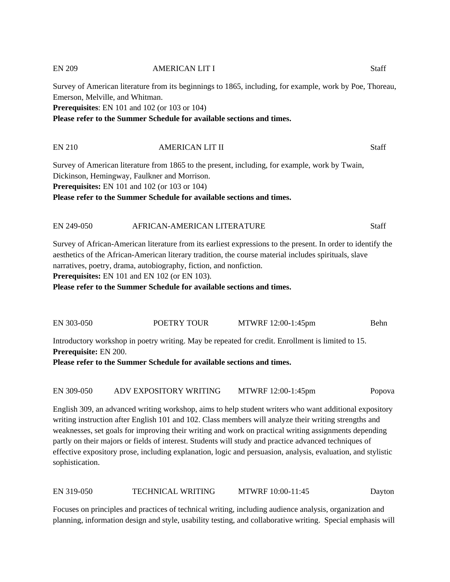# EN 209 AMERICAN LIT I Staff

Survey of American literature from its beginnings to 1865, including, for example, work by Poe, Thoreau, Emerson, Melville, and Whitman.

**Prerequisites**: EN 101 and 102 (or 103 or 104)

**Please refer to the Summer Schedule for available sections and times.**

# EN 210 AMERICAN LIT II Staff

Survey of American literature from 1865 to the present, including, for example, work by Twain, Dickinson, Hemingway, Faulkner and Morrison. **Prerequisites:** EN 101 and 102 (or 103 or 104) **Please refer to the Summer Schedule for available sections and times.**

# EN 249-050 AFRICAN-AMERICAN LITERATURE Staff

Survey of African-American literature from its earliest expressions to the present. In order to identify the aesthetics of the African-American literary tradition, the course material includes spirituals, slave narratives, poetry, drama, autobiography, fiction, and nonfiction.

**Prerequisites:** EN 101 and EN 102 (or EN 103).

**Please refer to the Summer Schedule for available sections and times.**

EN 303-050 POETRY TOUR MTWRF 12:00-1:45pm Behn

Introductory workshop in poetry writing. May be repeated for credit. Enrollment is limited to 15. **Prerequisite:** EN 200.

**Please refer to the Summer Schedule for available sections and times.**

EN 309-050 ADV EXPOSITORY WRITING MTWRF 12:00-1:45pm Popova

English 309, an advanced writing workshop, aims to help student writers who want additional expository writing instruction after English 101 and 102. Class members will analyze their writing strengths and weaknesses, set goals for improving their writing and work on practical writing assignments depending partly on their majors or fields of interest. Students will study and practice advanced techniques of effective expository prose, including explanation, logic and persuasion, analysis, evaluation, and stylistic sophistication.

EN 319-050 TECHNICAL WRITING MTWRF 10:00-11:45 Dayton

Focuses on principles and practices of technical writing, including audience analysis, organization and planning, information design and style, usability testing, and collaborative writing. Special emphasis will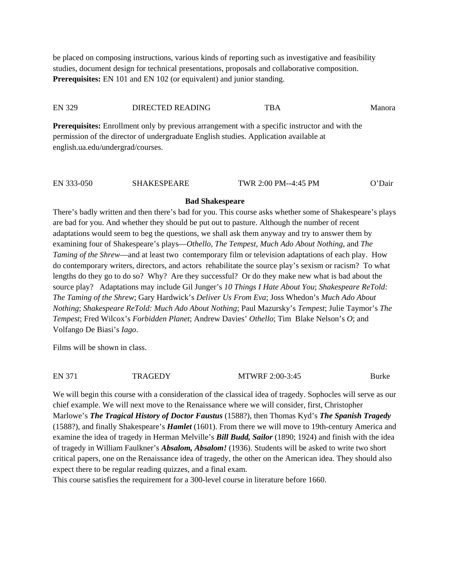be placed on composing instructions, various kinds of reporting such as investigative and feasibility studies, document design for technical presentations, proposals and collaborative composition. **Prerequisites:** EN 101 and EN 102 (or equivalent) and junior standing.

#### EN 329 DIRECTED READING TBA Manora

**Prerequisites:** Enrollment only by previous arrangement with a specific instructor and with the permission of the director of undergraduate English studies. Application available at english.ua.edu/undergrad/courses.

| EN 333-050 | <b>SHAKESPEARE</b> | TWR 2:00 PM--4:45 PM | O'Dair |
|------------|--------------------|----------------------|--------|
|            |                    |                      |        |

#### **Bad Shakespeare**

There's badly written and then there's bad for you. This course asks whether some of Shakespeare's plays are bad for you. And whether they should be put out to pasture. Although the number of recent adaptations would seem to beg the questions, we shall ask them anyway and try to answer them by examining four of Shakespeare's plays—*Othello, The Tempest, Much Ado About Nothing*, and *The Taming of the Shrew*—and at least two contemporary film or television adaptations of each play. How do contemporary writers, directors, and actors rehabilitate the source play's sexism or racism? To what lengths do they go to do so? Why? Are they successful? Or do they make new what is bad about the source play? Adaptations may include Gil Junger's *10 Things I Hate About You*; *Shakespeare ReTold: The Taming of the Shrew*; Gary Hardwick's *Deliver Us From Eva*; Joss Whedon's *Much Ado About Nothing*; *Shakespeare ReTold: Much Ado About Nothing*; Paul Mazursky's *Tempest*; Julie Taymor's *The Tempest*; Fred Wilcox's *Forbidden Planet*; Andrew Davies' *Othello*; Tim Blake Nelson's *O*; and Volfango De Biasi's *Iago*.

Films will be shown in class.

EN 371 TRAGEDY MTWRF 2:00-3:45 Burke

We will begin this course with a consideration of the classical idea of tragedy. Sophocles will serve as our chief example. We will next move to the Renaissance where we will consider, first, Christopher Marlowe's *The Tragical History of Doctor Faustus* (1588?), then Thomas Kyd's *The Spanish Tragedy*  (1588?), and finally Shakespeare's *Hamlet* (1601). From there we will move to 19th-century America and examine the idea of tragedy in Herman Melville's *Bill Budd, Sailor* (1890; 1924) and finish with the idea of tragedy in William Faulkner's *Absalom, Absalom!* (1936). Students will be asked to write two short critical papers, one on the Renaissance idea of tragedy, the other on the American idea. They should also expect there to be regular reading quizzes, and a final exam.

This course satisfies the requirement for a 300-level course in literature before 1660.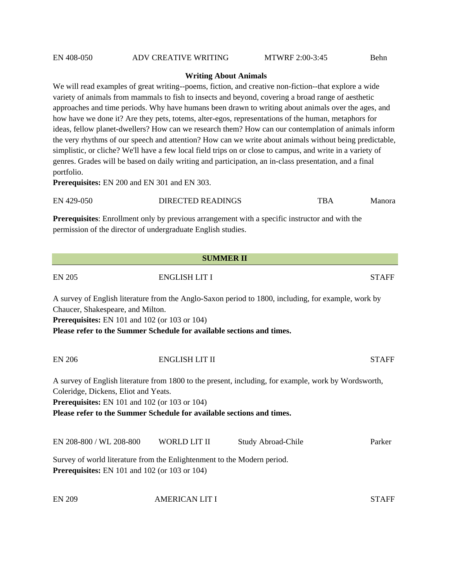# EN 408-050 ADV CREATIVE WRITING MTWRF 2:00-3:45 Behn

#### **Writing About Animals**

We will read examples of great writing--poems, fiction, and creative non-fiction--that explore a wide variety of animals from mammals to fish to insects and beyond, covering a broad range of aesthetic approaches and time periods. Why have humans been drawn to writing about animals over the ages, and how have we done it? Are they pets, totems, alter-egos, representations of the human, metaphors for ideas, fellow planet-dwellers? How can we research them? How can our contemplation of animals inform the very rhythms of our speech and attention? How can we write about animals without being predictable, simplistic, or cliche? We'll have a few local field trips on or close to campus, and write in a variety of genres. Grades will be based on daily writing and participation, an in-class presentation, and a final portfolio.

**Prerequisites:** EN 200 and EN 301 and EN 303.

| EN 429-050 | <b>DIRECTED READINGS</b> | TBA | Manora |
|------------|--------------------------|-----|--------|
|            |                          |     |        |

**Prerequisites**: Enrollment only by previous arrangement with a specific instructor and with the permission of the director of undergraduate English studies.

| <b>SUMMER II</b>                                                                                                                |                       |                                                                                                      |              |  |
|---------------------------------------------------------------------------------------------------------------------------------|-----------------------|------------------------------------------------------------------------------------------------------|--------------|--|
| <b>EN 205</b>                                                                                                                   | <b>ENGLISH LIT I</b>  |                                                                                                      | <b>STAFF</b> |  |
| Chaucer, Shakespeare, and Milton.                                                                                               |                       | A survey of English literature from the Anglo-Saxon period to 1800, including, for example, work by  |              |  |
| <b>Prerequisites:</b> EN 101 and 102 (or 103 or 104)                                                                            |                       |                                                                                                      |              |  |
| Please refer to the Summer Schedule for available sections and times.                                                           |                       |                                                                                                      |              |  |
| <b>EN 206</b>                                                                                                                   | ENGLISH LIT II        |                                                                                                      | <b>STAFF</b> |  |
| Coleridge, Dickens, Eliot and Yeats.                                                                                            |                       | A survey of English literature from 1800 to the present, including, for example, work by Wordsworth, |              |  |
| Prerequisites: EN 101 and 102 (or 103 or 104)                                                                                   |                       |                                                                                                      |              |  |
| Please refer to the Summer Schedule for available sections and times.                                                           |                       |                                                                                                      |              |  |
| EN 208-800 / WL 208-800                                                                                                         | WORLD LIT II          | Study Abroad-Chile                                                                                   | Parker       |  |
| Survey of world literature from the Enlightenment to the Modern period.<br><b>Prerequisites:</b> EN 101 and 102 (or 103 or 104) |                       |                                                                                                      |              |  |
| <b>EN 209</b>                                                                                                                   | <b>AMERICAN LIT I</b> |                                                                                                      | <b>STAFF</b> |  |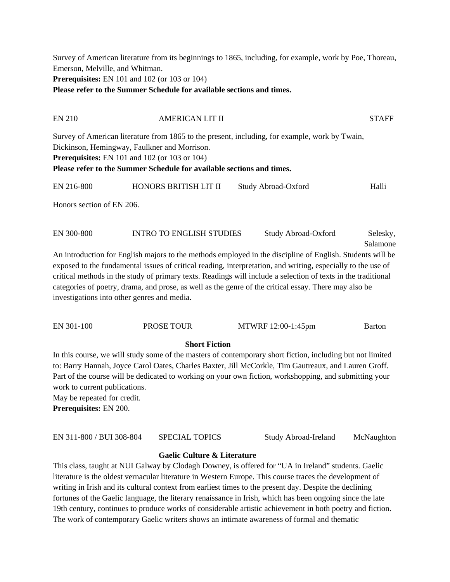Survey of American literature from its beginnings to 1865, including, for example, work by Poe, Thoreau, Emerson, Melville, and Whitman. **Prerequisites:** EN 101 and 102 (or 103 or 104) **Please refer to the Summer Schedule for available sections and times.**

# EN 210 AMERICAN LIT II STAFF Survey of American literature from 1865 to the present, including, for example, work by Twain,

Dickinson, Hemingway, Faulkner and Morrison.

**Prerequisites:** EN 101 and 102 (or 103 or 104)

**Please refer to the Summer Schedule for available sections and times.**

| EN 216-800                | HONORS BRITISH LIT II | Study Abroad-Oxford | Halli |
|---------------------------|-----------------------|---------------------|-------|
| Honors section of EN 206. |                       |                     |       |

EN 300-800 INTRO TO ENGLISH STUDIES Study Abroad-Oxford Selesky, Salamone Salamone An introduction for English majors to the methods employed in the discipline of English. Students will be exposed to the fundamental issues of critical reading, interpretation, and writing, especially to the use of critical methods in the study of primary texts. Readings will include a selection of texts in the traditional categories of poetry, drama, and prose, as well as the genre of the critical essay. There may also be investigations into other genres and media.

| EN 301-100 | <b>PROSE TOUR</b> | MTWRF 12:00-1:45pm | Barton |
|------------|-------------------|--------------------|--------|
|            |                   |                    |        |

# **Short Fiction**

In this course, we will study some of the masters of contemporary short fiction, including but not limited to: Barry Hannah, Joyce Carol Oates, Charles Baxter, Jill McCorkle, Tim Gautreaux, and Lauren Groff. Part of the course will be dedicated to working on your own fiction, workshopping, and submitting your work to current publications.

May be repeated for credit.

**Prerequisites:** EN 200.

| EN 311-800 / BUI 308-804 | <b>SPECIAL TOPICS</b> | Study Abroad-Ireland | McNaughton |
|--------------------------|-----------------------|----------------------|------------|
|--------------------------|-----------------------|----------------------|------------|

# **Gaelic Culture & Literature**

This class, taught at NUI Galway by Clodagh Downey, is offered for "UA in Ireland" students. Gaelic literature is the oldest vernacular literature in Western Europe. This course traces the development of writing in Irish and its cultural context from earliest times to the present day. Despite the declining fortunes of the Gaelic language, the literary renaissance in Irish, which has been ongoing since the late 19th century, continues to produce works of considerable artistic achievement in both poetry and fiction. The work of contemporary Gaelic writers shows an intimate awareness of formal and thematic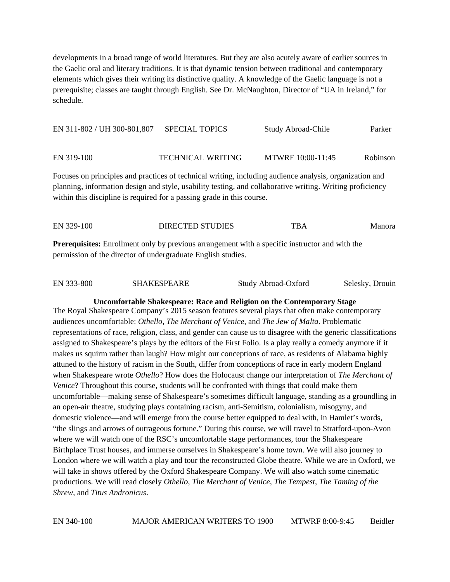developments in a broad range of world literatures. But they are also acutely aware of earlier sources in the Gaelic oral and literary traditions. It is that dynamic tension between traditional and contemporary elements which gives their writing its distinctive quality. A knowledge of the Gaelic language is not a prerequisite; classes are taught through English. See Dr. McNaughton, Director of "UA in Ireland," for schedule.

EN 311-802 / UH 300-801,807 SPECIAL TOPICS Study Abroad-Chile Parker

EN 319-100 TECHNICAL WRITING MTWRF 10:00-11:45 Robinson

Focuses on principles and practices of technical writing, including audience analysis, organization and planning, information design and style, usability testing, and collaborative writing. Writing proficiency within this discipline is required for a passing grade in this course.

EN 329-100 DIRECTED STUDIES THE TBA Manora **Prerequisites:** Enrollment only by previous arrangement with a specific instructor and with the permission of the director of undergraduate English studies.

| EN 333-800 | <b>SHAKESPEARE</b> | Study Abroad-Oxford | Selesky, Drouin |
|------------|--------------------|---------------------|-----------------|
|            |                    |                     |                 |

**Uncomfortable Shakespeare: Race and Religion on the Contemporary Stage** 

The Royal Shakespeare Company's 2015 season features several plays that often make contemporary audiences uncomfortable: *Othello*, *The Merchant of Venice*, and *The Jew of Malta*. Problematic representations of race, religion, class, and gender can cause us to disagree with the generic classifications assigned to Shakespeare's plays by the editors of the First Folio. Is a play really a comedy anymore if it makes us squirm rather than laugh? How might our conceptions of race, as residents of Alabama highly attuned to the history of racism in the South, differ from conceptions of race in early modern England when Shakespeare wrote *Othello*? How does the Holocaust change our interpretation of *The Merchant of Venice*? Throughout this course, students will be confronted with things that could make them uncomfortable—making sense of Shakespeare's sometimes difficult language, standing as a groundling in an open-air theatre, studying plays containing racism, anti-Semitism, colonialism, misogyny, and domestic violence—and will emerge from the course better equipped to deal with, in Hamlet's words, "the slings and arrows of outrageous fortune." During this course, we will travel to Stratford-upon-Avon where we will watch one of the RSC's uncomfortable stage performances, tour the Shakespeare Birthplace Trust houses, and immerse ourselves in Shakespeare's home town. We will also journey to London where we will watch a play and tour the reconstructed Globe theatre. While we are in Oxford, we will take in shows offered by the Oxford Shakespeare Company. We will also watch some cinematic productions. We will read closely *Othello*, *The Merchant of Venice*, *The Tempest*, *The Taming of the Shrew*, and *Titus Andronicus*.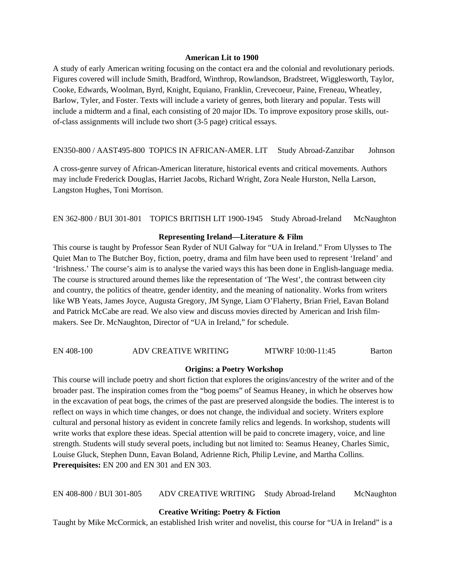#### **American Lit to 1900**

A study of early American writing focusing on the contact era and the colonial and revolutionary periods. Figures covered will include Smith, Bradford, Winthrop, Rowlandson, Bradstreet, Wigglesworth, Taylor, Cooke, Edwards, Woolman, Byrd, Knight, Equiano, Franklin, Crevecoeur, Paine, Freneau, Wheatley, Barlow, Tyler, and Foster. Texts will include a variety of genres, both literary and popular. Tests will include a midterm and a final, each consisting of 20 major IDs. To improve expository prose skills, outof-class assignments will include two short (3-5 page) critical essays.

EN350-800 / AAST495-800 TOPICS IN AFRICAN-AMER. LIT Study Abroad-Zanzibar Johnson

A cross-genre survey of African-American literature, historical events and critical movements. Authors may include Frederick Douglas, Harriet Jacobs, Richard Wright, Zora Neale Hurston, Nella Larson, Langston Hughes, Toni Morrison.

EN 362-800 / BUI 301-801 TOPICS BRITISH LIT 1900-1945 Study Abroad-Ireland McNaughton

#### **Representing Ireland—Literature & Film**

This course is taught by Professor Sean Ryder of NUI Galway for "UA in Ireland." From Ulysses to The Quiet Man to The Butcher Boy, fiction, poetry, drama and film have been used to represent 'Ireland' and 'Irishness.' The course's aim is to analyse the varied ways this has been done in English-language media. The course is structured around themes like the representation of 'The West', the contrast between city and country, the politics of theatre, gender identity, and the meaning of nationality. Works from writers like WB Yeats, James Joyce, Augusta Gregory, JM Synge, Liam O'Flaherty, Brian Friel, Eavan Boland and Patrick McCabe are read. We also view and discuss movies directed by American and Irish filmmakers. See Dr. McNaughton, Director of "UA in Ireland," for schedule.

#### EN 408-100 ADV CREATIVE WRITING MTWRF 10:00-11:45 Barton

#### **Origins: a Poetry Workshop**

This course will include poetry and short fiction that explores the origins/ancestry of the writer and of the broader past. The inspiration comes from the "bog poems" of Seamus Heaney, in which he observes how in the excavation of peat bogs, the crimes of the past are preserved alongside the bodies. The interest is to reflect on ways in which time changes, or does not change, the individual and society. Writers explore cultural and personal history as evident in concrete family relics and legends. In workshop, students will write works that explore these ideas. Special attention will be paid to concrete imagery, voice, and line strength. Students will study several poets, including but not limited to: Seamus Heaney, Charles Simic, Louise Gluck, Stephen Dunn, Eavan Boland, Adrienne Rich, Philip Levine, and Martha Collins. **Prerequisites:** EN 200 and EN 301 and EN 303.

EN 408-800 / BUI 301-805 ADV CREATIVE WRITING Study Abroad-Ireland McNaughton

#### **Creative Writing: Poetry & Fiction**

Taught by Mike McCormick, an established Irish writer and novelist, this course for "UA in Ireland" is a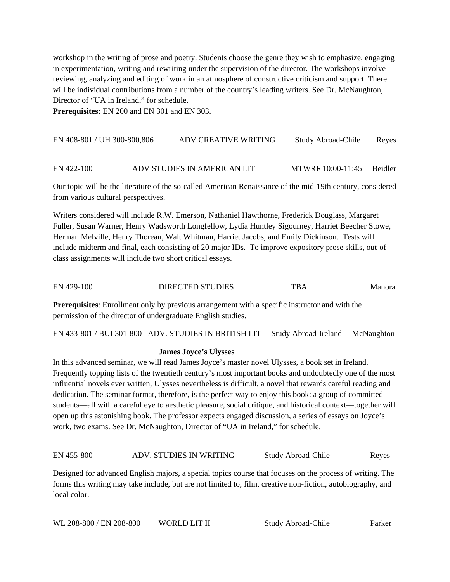workshop in the writing of prose and poetry. Students choose the genre they wish to emphasize, engaging in experimentation, writing and rewriting under the supervision of the director. The workshops involve reviewing, analyzing and editing of work in an atmosphere of constructive criticism and support. There will be individual contributions from a number of the country's leading writers. See Dr. McNaughton, Director of "UA in Ireland," for schedule.

**Prerequisites:** EN 200 and EN 301 and EN 303.

| EN 408-801 / UH 300-800,806 | ADV CREATIVE WRITING | Study Abroad-Chile | Reyes |
|-----------------------------|----------------------|--------------------|-------|
|                             |                      |                    |       |

### EN 422-100 ADV STUDIES IN AMERICAN LIT MTWRF 10:00-11:45 Beidler

Our topic will be the literature of the so-called American Renaissance of the mid-19th century, considered from various cultural perspectives.

Writers considered will include R.W. Emerson, Nathaniel Hawthorne, Frederick Douglass, Margaret Fuller, Susan Warner, Henry Wadsworth Longfellow, Lydia Huntley Sigourney, Harriet Beecher Stowe, Herman Melville, Henry Thoreau, Walt Whitman, Harriet Jacobs, and Emily Dickinson. Tests will include midterm and final, each consisting of 20 major IDs. To improve expository prose skills, out-ofclass assignments will include two short critical essays.

EN 429-100 DIRECTED STUDIES THE TBA Manora

**Prerequisites**: Enrollment only by previous arrangement with a specific instructor and with the permission of the director of undergraduate English studies.

EN 433-801 / BUI 301-800 ADV. STUDIES IN BRITISH LIT Study Abroad-Ireland McNaughton

# **James Joyce's Ulysses**

In this advanced seminar, we will read James Joyce's master novel Ulysses, a book set in Ireland. Frequently topping lists of the twentieth century's most important books and undoubtedly one of the most influential novels ever written, Ulysses nevertheless is difficult, a novel that rewards careful reading and dedication. The seminar format, therefore, is the perfect way to enjoy this book: a group of committed students—all with a careful eye to aesthetic pleasure, social critique, and historical context—together will open up this astonishing book. The professor expects engaged discussion, a series of essays on Joyce's work, two exams. See Dr. McNaughton, Director of "UA in Ireland," for schedule.

EN 455-800 ADV. STUDIES IN WRITING Study Abroad-Chile Reyes

Designed for advanced English majors, a special topics course that focuses on the process of writing. The forms this writing may take include, but are not limited to, film, creative non-fiction, autobiography, and local color.

| WL 208-800 / EN 208-800 | WORLD LIT II | Study Abroad-Chile | Parker |
|-------------------------|--------------|--------------------|--------|
|-------------------------|--------------|--------------------|--------|